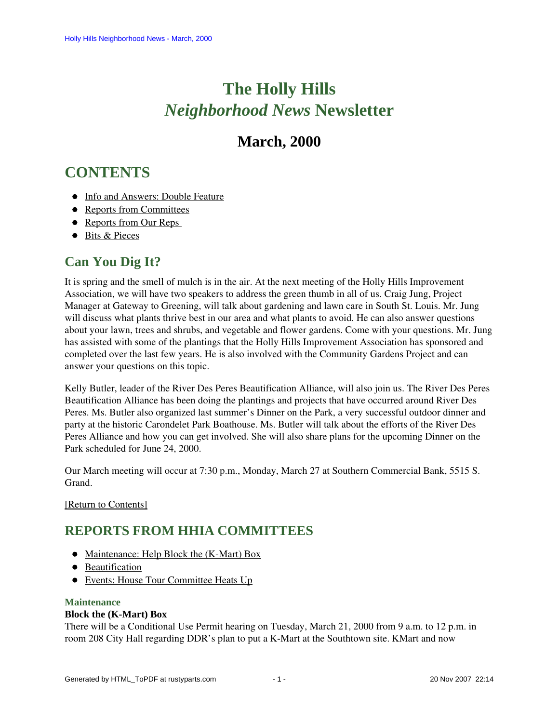# **The Holly Hills**  *Neighborhood News* **Newsletter**

# **March, 2000**

# <span id="page-0-2"></span>**CONTENTS**

- [Info and Answers: Double Feature](#page-0-0)
- [Reports from Committees](#page-0-1)
- Reports from Our Reps
- [Bits & Pieces](#page-3-0)

## <span id="page-0-0"></span>**Can You Dig It?**

It is spring and the smell of mulch is in the air. At the next meeting of the Holly Hills Improvement Association, we will have two speakers to address the green thumb in all of us. Craig Jung, Project Manager at Gateway to Greening, will talk about gardening and lawn care in South St. Louis. Mr. Jung will discuss what plants thrive best in our area and what plants to avoid. He can also answer questions about your lawn, trees and shrubs, and vegetable and flower gardens. Come with your questions. Mr. Jung has assisted with some of the plantings that the Holly Hills Improvement Association has sponsored and completed over the last few years. He is also involved with the Community Gardens Project and can answer your questions on this topic.

Kelly Butler, leader of the River Des Peres Beautification Alliance, will also join us. The River Des Peres Beautification Alliance has been doing the plantings and projects that have occurred around River Des Peres. Ms. Butler also organized last summer's Dinner on the Park, a very successful outdoor dinner and party at the historic Carondelet Park Boathouse. Ms. Butler will talk about the efforts of the River Des Peres Alliance and how you can get involved. She will also share plans for the upcoming Dinner on the Park scheduled for June 24, 2000.

Our March meeting will occur at 7:30 p.m., Monday, March 27 at Southern Commercial Bank, 5515 S. Grand.

<span id="page-0-1"></span>[\[Return to Contents\]](#page-0-2)

# <span id="page-0-4"></span>**REPORTS FROM HHIA COMMITTEES**

- [Maintenance: Help Block the \(K-Mart\) Box](#page-0-3)
- **•** [Beautification](#page-1-0)
- [Events: House Tour Committee Heats Up](#page-1-1)

### <span id="page-0-3"></span>**Maintenance**

### **Block the (K-Mart) Box**

There will be a Conditional Use Permit hearing on Tuesday, March 21, 2000 from 9 a.m. to 12 p.m. in room 208 City Hall regarding DDR's plan to put a K-Mart at the Southtown site. KMart and now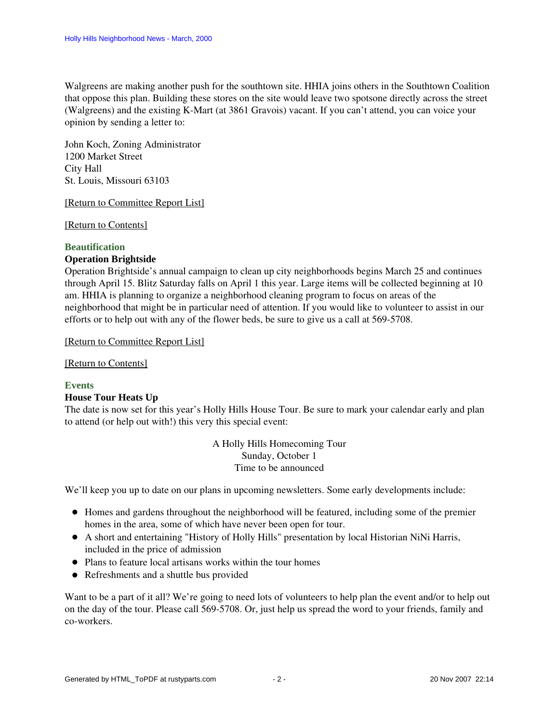Walgreens are making another push for the southtown site. HHIA joins others in the Southtown Coalition that oppose this plan. Building these stores on the site would leave two spotsone directly across the street (Walgreens) and the existing K-Mart (at 3861 Gravois) vacant. If you can't attend, you can voice your opinion by sending a letter to:

John Koch, Zoning Administrator 1200 Market Street City Hall St. Louis, Missouri 63103

#### [\[Return to Committee Report List\]](#page-0-4)

[\[Return to Contents\]](#page-0-2)

#### <span id="page-1-0"></span>**Beautification**

#### **Operation Brightside**

Operation Brightside's annual campaign to clean up city neighborhoods begins March 25 and continues through April 15. Blitz Saturday falls on April 1 this year. Large items will be collected beginning at 10 am. HHIA is planning to organize a neighborhood cleaning program to focus on areas of the neighborhood that might be in particular need of attention. If you would like to volunteer to assist in our efforts or to help out with any of the flower beds, be sure to give us a call at 569-5708.

[\[Return to Committee Report List\]](#page-0-4)

[\[Return to Contents\]](#page-0-2)

#### <span id="page-1-1"></span>**Events**

#### **House Tour Heats Up**

The date is now set for this year's Holly Hills House Tour. Be sure to mark your calendar early and plan to attend (or help out with!) this very this special event:

> A Holly Hills Homecoming Tour Sunday, October 1 Time to be announced

We'll keep you up to date on our plans in upcoming newsletters. Some early developments include:

- Homes and gardens throughout the neighborhood will be featured, including some of the premier homes in the area, some of which have never been open for tour.
- A short and entertaining "History of Holly Hills" presentation by local Historian NiNi Harris, included in the price of admission
- Plans to feature local artisans works within the tour homes
- Refreshments and a shuttle bus provided

Want to be a part of it all? We're going to need lots of volunteers to help plan the event and/or to help out on the day of the tour. Please call 569-5708. Or, just help us spread the word to your friends, family and co-workers.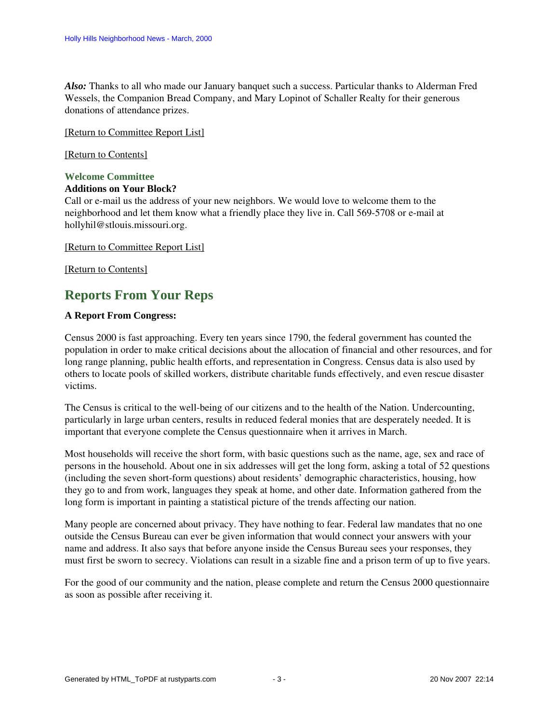*Also:* Thanks to all who made our January banquet such a success. Particular thanks to Alderman Fred Wessels, the Companion Bread Company, and Mary Lopinot of Schaller Realty for their generous donations of attendance prizes.

[\[Return to Committee Report List\]](#page-0-4)

[\[Return to Contents\]](#page-0-2)

#### **Welcome Committee**

#### **Additions on Your Block?**

Call or e-mail us the address of your new neighbors. We would love to welcome them to the neighborhood and let them know what a friendly place they live in. Call 569-5708 or e-mail at hollyhil@stlouis.missouri.org.

[\[Return to Committee Report List\]](#page-0-4)

<span id="page-2-0"></span>[\[Return to Contents\]](#page-0-2)

## **Reports From Your Reps**

#### **A Report From Congress:**

Census 2000 is fast approaching. Every ten years since 1790, the federal government has counted the population in order to make critical decisions about the allocation of financial and other resources, and for long range planning, public health efforts, and representation in Congress. Census data is also used by others to locate pools of skilled workers, distribute charitable funds effectively, and even rescue disaster victims.

The Census is critical to the well-being of our citizens and to the health of the Nation. Undercounting, particularly in large urban centers, results in reduced federal monies that are desperately needed. It is important that everyone complete the Census questionnaire when it arrives in March.

Most households will receive the short form, with basic questions such as the name, age, sex and race of persons in the household. About one in six addresses will get the long form, asking a total of 52 questions (including the seven short-form questions) about residents' demographic characteristics, housing, how they go to and from work, languages they speak at home, and other date. Information gathered from the long form is important in painting a statistical picture of the trends affecting our nation.

Many people are concerned about privacy. They have nothing to fear. Federal law mandates that no one outside the Census Bureau can ever be given information that would connect your answers with your name and address. It also says that before anyone inside the Census Bureau sees your responses, they must first be sworn to secrecy. Violations can result in a sizable fine and a prison term of up to five years.

For the good of our community and the nation, please complete and return the Census 2000 questionnaire as soon as possible after receiving it.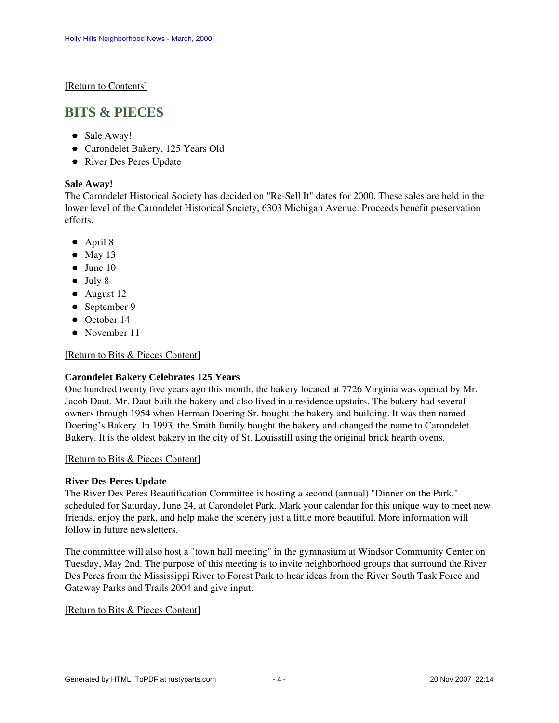#### [\[Return to Contents\]](#page-0-2)

## <span id="page-3-4"></span><span id="page-3-0"></span>**BITS & PIECES**

- [Sale Away!](#page-3-1)
- [Carondelet Bakery, 125 Years Old](#page-3-2)
- [River Des Peres Update](#page-3-3)

#### <span id="page-3-1"></span>**Sale Away!**

The Carondelet Historical Society has decided on "Re-Sell It" dates for 2000. These sales are held in the lower level of the Carondelet Historical Society, 6303 Michigan Avenue. Proceeds benefit preservation efforts.

- April 8
- $•$  May 13
- $\bullet$  June 10
- $\bullet$  July 8
- August 12
- September 9
- October 14
- November 11

#### [\[Return to Bits & Pieces Content\]](#page-3-4)

### <span id="page-3-2"></span>**Carondelet Bakery Celebrates 125 Years**

One hundred twenty five years ago this month, the bakery located at 7726 Virginia was opened by Mr. Jacob Daut. Mr. Daut built the bakery and also lived in a residence upstairs. The bakery had several owners through 1954 when Herman Doering Sr. bought the bakery and building. It was then named Doering's Bakery. In 1993, the Smith family bought the bakery and changed the name to Carondelet Bakery. It is the oldest bakery in the city of St. Louisstill using the original brick hearth ovens.

#### [\[Return to Bits & Pieces Content\]](#page-3-4)

#### <span id="page-3-3"></span>**River Des Peres Update**

The River Des Peres Beautification Committee is hosting a second (annual) "Dinner on the Park," scheduled for Saturday, June 24, at Carondolet Park. Mark your calendar for this unique way to meet new friends, enjoy the park, and help make the scenery just a little more beautiful. More information will follow in future newsletters.

The committee will also host a "town hall meeting" in the gymnasium at Windsor Community Center on Tuesday, May 2nd. The purpose of this meeting is to invite neighborhood groups that surround the River Des Peres from the Mississippi River to Forest Park to hear ideas from the River South Task Force and Gateway Parks and Trails 2004 and give input.

#### [\[Return to Bits & Pieces Content\]](#page-3-4)